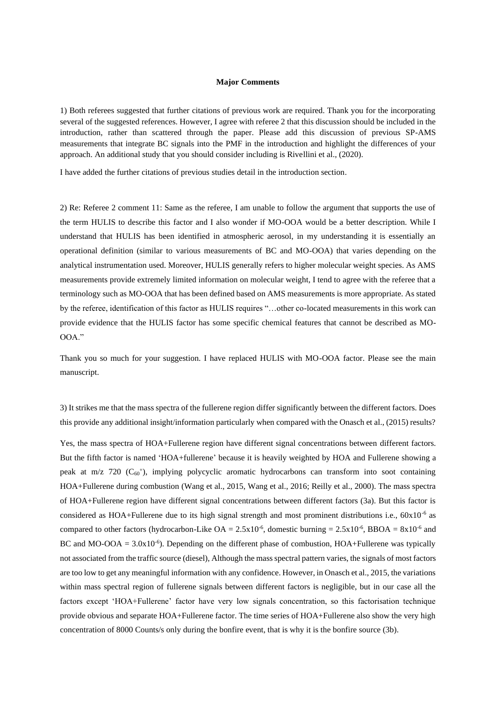## **Major Comments**

1) Both referees suggested that further citations of previous work are required. Thank you for the incorporating several of the suggested references. However, I agree with referee 2 that this discussion should be included in the introduction, rather than scattered through the paper. Please add this discussion of previous SP-AMS measurements that integrate BC signals into the PMF in the introduction and highlight the differences of your approach. An additional study that you should consider including is Rivellini et al., (2020).

I have added the further citations of previous studies detail in the introduction section.

2) Re: Referee 2 comment 11: Same as the referee, I am unable to follow the argument that supports the use of the term HULIS to describe this factor and I also wonder if MO-OOA would be a better description. While I understand that HULIS has been identified in atmospheric aerosol, in my understanding it is essentially an operational definition (similar to various measurements of BC and MO-OOA) that varies depending on the analytical instrumentation used. Moreover, HULIS generally refers to higher molecular weight species. As AMS measurements provide extremely limited information on molecular weight, I tend to agree with the referee that a terminology such as MO-OOA that has been defined based on AMS measurements is more appropriate. As stated by the referee, identification of this factor as HULIS requires "…other co-located measurements in this work can provide evidence that the HULIS factor has some specific chemical features that cannot be described as MO-OOA."

Thank you so much for your suggestion. I have replaced HULIS with MO-OOA factor. Please see the main manuscript.

3) It strikes me that the mass spectra of the fullerene region differ significantly between the different factors. Does this provide any additional insight/information particularly when compared with the Onasch et al., (2015) results?

Yes, the mass spectra of HOA+Fullerene region have different signal concentrations between different factors. But the fifth factor is named 'HOA+fullerene' because it is heavily weighted by HOA and Fullerene showing a peak at m/z 720 (C<sub>60</sub><sup>+</sup>), implying polycyclic aromatic hydrocarbons can transform into soot containing HOA+Fullerene during combustion (Wang et al., 2015, Wang et al., 2016; Reilly et al., 2000). The mass spectra of HOA+Fullerene region have different signal concentrations between different factors (3a). But this factor is considered as HOA+Fullerene due to its high signal strength and most prominent distributions i.e., 60x10<sup>-6</sup> as compared to other factors (hydrocarbon-Like  $OA = 2.5x10^{-6}$ , domestic burning =  $2.5x10^{-6}$ , BBOA =  $8x10^{-6}$  and BC and MO-OOA =  $3.0x10^{-6}$ ). Depending on the different phase of combustion, HOA+Fullerene was typically not associated from the traffic source (diesel), Although the mass spectral pattern varies, the signals of most factors are too low to get any meaningful information with any confidence. However, in Onasch et al., 2015, the variations within mass spectral region of fullerene signals between different factors is negligible, but in our case all the factors except 'HOA+Fullerene' factor have very low signals concentration, so this factorisation technique provide obvious and separate HOA+Fullerene factor. The time series of HOA+Fullerene also show the very high concentration of 8000 Counts/s only during the bonfire event, that is why it is the bonfire source (3b).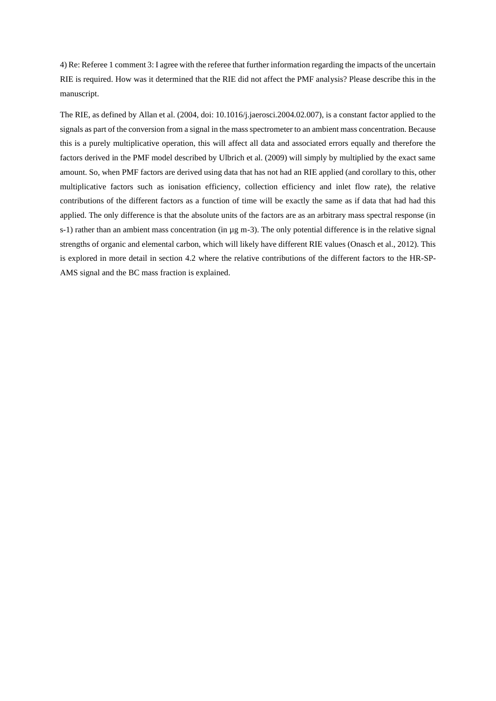4) Re: Referee 1 comment 3: I agree with the referee that further information regarding the impacts of the uncertain RIE is required. How was it determined that the RIE did not affect the PMF analysis? Please describe this in the manuscript.

The RIE, as defined by Allan et al. (2004, doi: 10.1016/j.jaerosci.2004.02.007), is a constant factor applied to the signals as part of the conversion from a signal in the mass spectrometer to an ambient mass concentration. Because this is a purely multiplicative operation, this will affect all data and associated errors equally and therefore the factors derived in the PMF model described by Ulbrich et al. (2009) will simply by multiplied by the exact same amount. So, when PMF factors are derived using data that has not had an RIE applied (and corollary to this, other multiplicative factors such as ionisation efficiency, collection efficiency and inlet flow rate), the relative contributions of the different factors as a function of time will be exactly the same as if data that had had this applied. The only difference is that the absolute units of the factors are as an arbitrary mass spectral response (in s-1) rather than an ambient mass concentration (in  $\mu$ g m-3). The only potential difference is in the relative signal strengths of organic and elemental carbon, which will likely have different RIE values (Onasch et al., 2012). This is explored in more detail in section 4.2 where the relative contributions of the different factors to the HR-SP-AMS signal and the BC mass fraction is explained.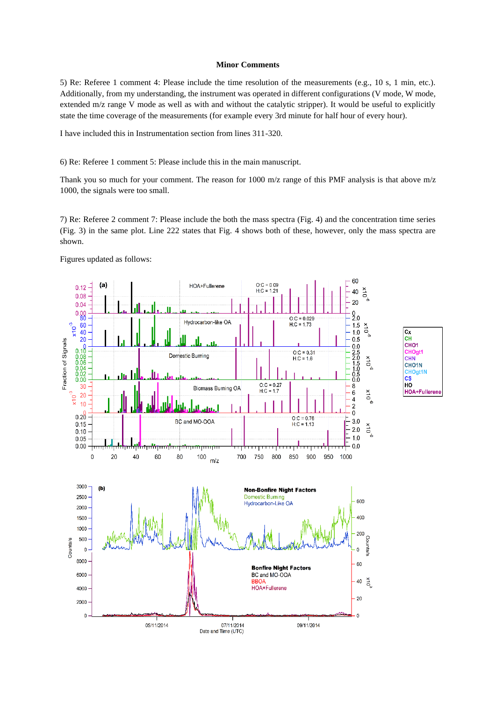## **Minor Comments**

5) Re: Referee 1 comment 4: Please include the time resolution of the measurements (e.g., 10 s, 1 min, etc.). Additionally, from my understanding, the instrument was operated in different configurations (V mode, W mode, extended m/z range V mode as well as with and without the catalytic stripper). It would be useful to explicitly state the time coverage of the measurements (for example every 3rd minute for half hour of every hour).

I have included this in Instrumentation section from lines 311-320.

6) Re: Referee 1 comment 5: Please include this in the main manuscript.

Thank you so much for your comment. The reason for 1000 m/z range of this PMF analysis is that above m/z 1000, the signals were too small.

7) Re: Referee 2 comment 7: Please include the both the mass spectra (Fig. 4) and the concentration time series (Fig. 3) in the same plot. Line 222 states that Fig. 4 shows both of these, however, only the mass spectra are shown.

 $\overline{\text{c}_x}$ 

CН

CHO<sub>1</sub>

**CHN** CHO<sub>1N</sub> **HOgt1N** CS

HO

**HOA+Fullerene** 

CHOgt1

Figures updated as follows:

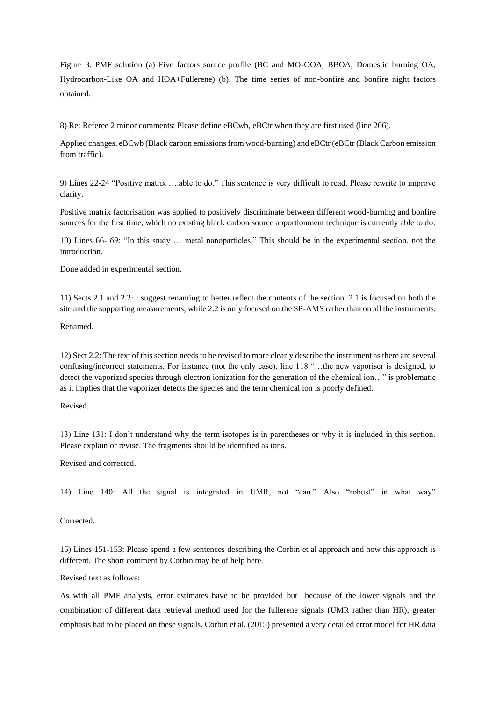Figure 3. PMF solution (a) Five factors source profile (BC and MO-OOA, BBOA, Domestic burning OA, Hydrocarbon-Like OA and HOA+Fullerene) (b). The time series of non-bonfire and bonfire night factors obtained.

8) Re: Referee 2 minor comments: Please define eBCwb, eBCtr when they are first used (line 206).

Applied changes. eBCwb (Black carbon emissions from wood-burning) and eBCtr (eBCtr (Black Carbon emission from traffic).

9) Lines 22-24 "Positive matrix ….able to do." This sentence is very difficult to read. Please rewrite to improve clarity.

Positive matrix factorisation was applied to positively discriminate between different wood-burning and bonfire sources for the first time, which no existing black carbon source apportionment technique is currently able to do.

10) Lines 66- 69: "In this study … metal nanoparticles." This should be in the experimental section, not the introduction.

Done added in experimental section.

11) Sects 2.1 and 2.2: I suggest renaming to better reflect the contents of the section. 2.1 is focused on both the site and the supporting measurements, while 2.2 is only focused on the SP-AMS rather than on all the instruments.

Renamed.

12) Sect 2.2: The text of this section needs to be revised to more clearly describe the instrument as there are several confusing/incorrect statements. For instance (not the only case), line 118 "…the new vaporiser is designed, to detect the vaporized species through electron ionization for the generation of the chemical ion…" is problematic as it implies that the vaporizer detects the species and the term chemical ion is poorly defined.

Revised.

13) Line 131: I don't understand why the term isotopes is in parentheses or why it is included in this section. Please explain or revise. The fragments should be identified as ions.

Revised and corrected.

14) Line 140: All the signal is integrated in UMR, not "can." Also "robust" in what way"

Corrected.

15) Lines 151-153: Please spend a few sentences describing the Corbin et al approach and how this approach is different. The short comment by Corbin may be of help here.

Revised text as follows:

As with all PMF analysis, error estimates have to be provided but because of the lower signals and the combination of different data retrieval method used for the fullerene signals (UMR rather than HR), greater emphasis had to be placed on these signals. Corbin et al. (2015) presented a very detailed error model for HR data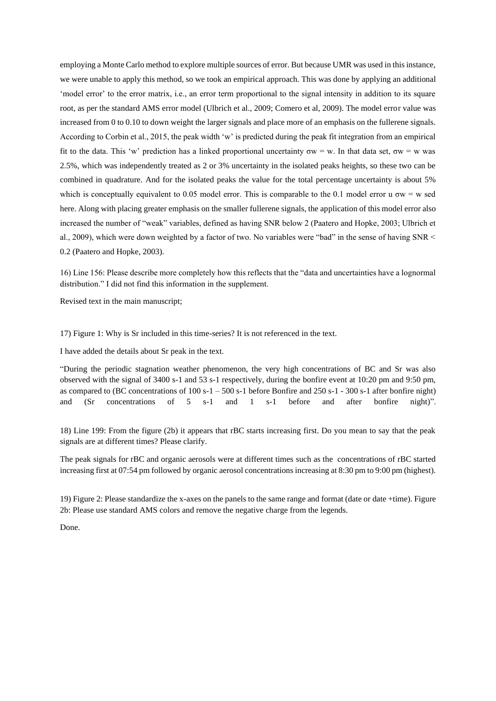employing a Monte Carlo method to explore multiple sources of error. But because UMR was used in this instance, we were unable to apply this method, so we took an empirical approach. This was done by applying an additional 'model error' to the error matrix, i.e., an error term proportional to the signal intensity in addition to its square root, as per the standard AMS error model (Ulbrich et al., 2009; Comero et al, 2009). The model error value was increased from 0 to 0.10 to down weight the larger signals and place more of an emphasis on the fullerene signals. According to Corbin et al., 2015, the peak width 'w' is predicted during the peak fit integration from an empirical fit to the data. This 'w' prediction has a linked proportional uncertainty  $\sigma w = w$ . In that data set,  $\sigma w = w$  was 2.5%, which was independently treated as 2 or 3% uncertainty in the isolated peaks heights, so these two can be combined in quadrature. And for the isolated peaks the value for the total percentage uncertainty is about 5% which is conceptually equivalent to 0.05 model error. This is comparable to the 0.1 model error u  $\sigma w = w$  sed here. Along with placing greater emphasis on the smaller fullerene signals, the application of this model error also increased the number of "weak" variables, defined as having SNR below 2 (Paatero and Hopke, 2003; Ulbrich et al., 2009), which were down weighted by a factor of two. No variables were "bad" in the sense of having SNR < 0.2 (Paatero and Hopke, 2003).

16) Line 156: Please describe more completely how this reflects that the "data and uncertainties have a lognormal distribution." I did not find this information in the supplement.

Revised text in the main manuscript;

17) Figure 1: Why is Sr included in this time-series? It is not referenced in the text.

I have added the details about Sr peak in the text.

"During the periodic stagnation weather phenomenon, the very high concentrations of BC and Sr was also observed with the signal of 3400 s-1 and 53 s-1 respectively, during the bonfire event at 10:20 pm and 9:50 pm, as compared to (BC concentrations of 100 s-1 – 500 s-1 before Bonfire and 250 s-1 - 300 s-1 after bonfire night) and (Sr concentrations of 5 s-1 and 1 s-1 before and after bonfire night)".

18) Line 199: From the figure (2b) it appears that rBC starts increasing first. Do you mean to say that the peak signals are at different times? Please clarify.

The peak signals for rBC and organic aerosols were at different times such as the concentrations of rBC started increasing first at 07:54 pm followed by organic aerosol concentrations increasing at 8:30 pm to 9:00 pm (highest).

19) Figure 2: Please standardize the x-axes on the panels to the same range and format (date or date +time). Figure 2b: Please use standard AMS colors and remove the negative charge from the legends.

Done.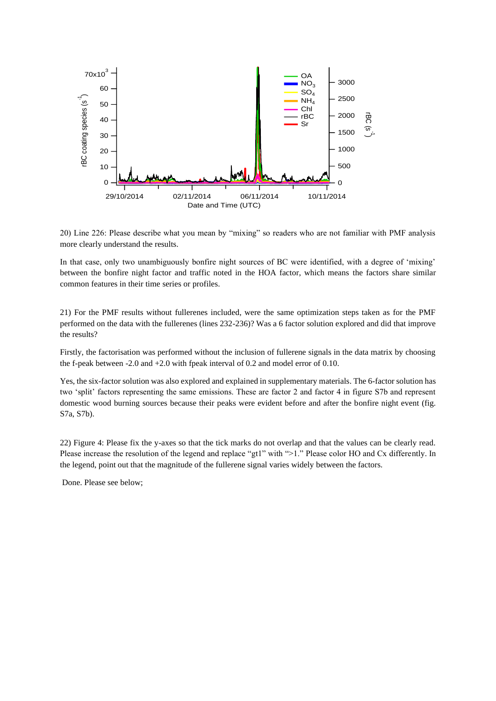

20) Line 226: Please describe what you mean by "mixing" so readers who are not familiar with PMF analysis more clearly understand the results.

In that case, only two unambiguously bonfire night sources of BC were identified, with a degree of 'mixing' between the bonfire night factor and traffic noted in the HOA factor, which means the factors share similar common features in their time series or profiles.

21) For the PMF results without fullerenes included, were the same optimization steps taken as for the PMF performed on the data with the fullerenes (lines 232-236)? Was a 6 factor solution explored and did that improve the results?

Firstly, the factorisation was performed without the inclusion of fullerene signals in the data matrix by choosing the f-peak between -2.0 and +2.0 with fpeak interval of 0.2 and model error of 0.10.

Yes, the six-factor solution was also explored and explained in supplementary materials. The 6-factor solution has two 'split' factors representing the same emissions. These are factor 2 and factor 4 in figure S7b and represent domestic wood burning sources because their peaks were evident before and after the bonfire night event (fig. S7a, S7b).

22) Figure 4: Please fix the y-axes so that the tick marks do not overlap and that the values can be clearly read. Please increase the resolution of the legend and replace "gt1" with ">1." Please color HO and Cx differently. In the legend, point out that the magnitude of the fullerene signal varies widely between the factors.

Done. Please see below;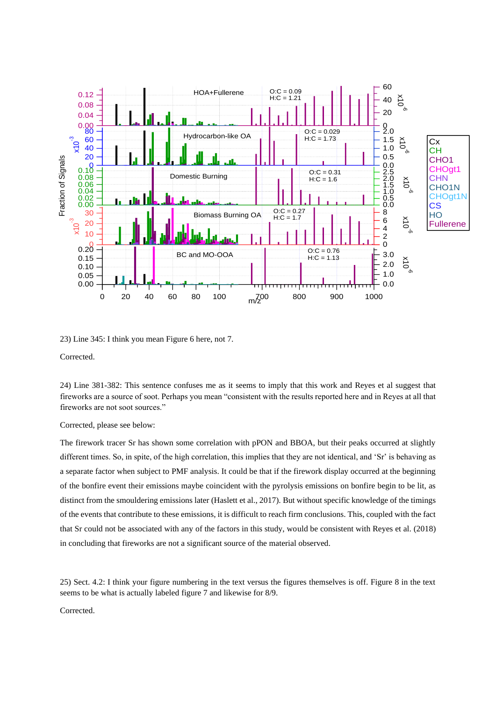

23) Line 345: I think you mean Figure 6 here, not 7.

Corrected.

24) Line 381-382: This sentence confuses me as it seems to imply that this work and Reyes et al suggest that fireworks are a source of soot. Perhaps you mean "consistent with the results reported here and in Reyes at all that fireworks are not soot sources."

Corrected, please see below:

The firework tracer Sr has shown some correlation with pPON and BBOA, but their peaks occurred at slightly different times. So, in spite, of the high correlation, this implies that they are not identical, and 'Sr' is behaving as a separate factor when subject to PMF analysis. It could be that if the firework display occurred at the beginning of the bonfire event their emissions maybe coincident with the pyrolysis emissions on bonfire begin to be lit, as distinct from the smouldering emissions later (Haslett et al., 2017). But without specific knowledge of the timings of the events that contribute to these emissions, it is difficult to reach firm conclusions. This, coupled with the fact that Sr could not be associated with any of the factors in this study, would be consistent with Reyes et al. (2018) in concluding that fireworks are not a significant source of the material observed.

25) Sect. 4.2: I think your figure numbering in the text versus the figures themselves is off. Figure 8 in the text seems to be what is actually labeled figure 7 and likewise for 8/9.

Corrected.